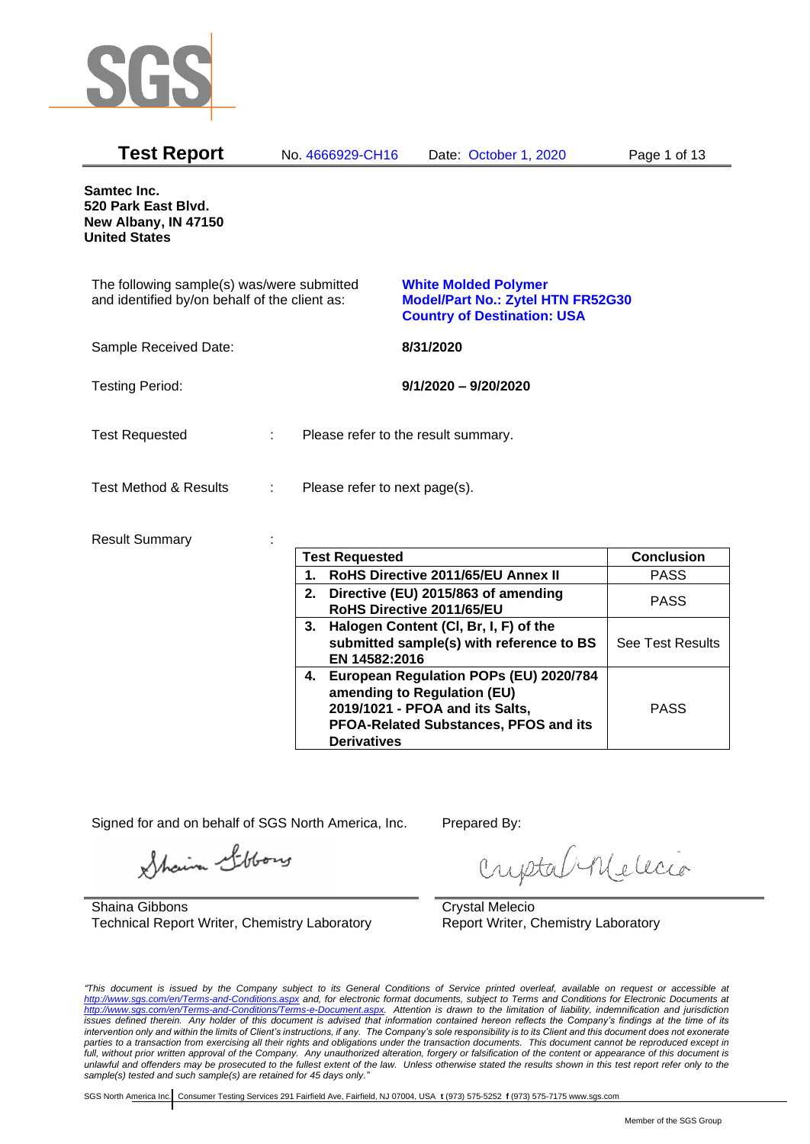

| Samtec Inc.<br>520 Park East Blvd.                                                                                                                                                                           |
|--------------------------------------------------------------------------------------------------------------------------------------------------------------------------------------------------------------|
| New Albany, IN 47150<br><b>United States</b>                                                                                                                                                                 |
| The following sample(s) was/were submitted<br><b>White Molded Polymer</b><br>and identified by/on behalf of the client as:<br><b>Model/Part No.: Zytel HTN FR52G30</b><br><b>Country of Destination: USA</b> |
| Sample Received Date:<br>8/31/2020                                                                                                                                                                           |
| <b>Testing Period:</b><br>$9/1/2020 - 9/20/2020$                                                                                                                                                             |
| <b>Test Requested</b><br>Please refer to the result summary.                                                                                                                                                 |
| <b>Test Method &amp; Results</b><br>Please refer to next page(s).                                                                                                                                            |
| <b>Result Summary</b>                                                                                                                                                                                        |
| <b>Test Requested</b><br><b>Conclusion</b>                                                                                                                                                                   |
| RoHS Directive 2011/65/EU Annex II<br><b>PASS</b><br>1.                                                                                                                                                      |
| 2. Directive (EU) 2015/863 of amending<br><b>PASS</b><br>RoHS Directive 2011/65/EU                                                                                                                           |
| 3. Halogen Content (CI, Br, I, F) of the<br>See Test Results<br>submitted sample(s) with reference to BS<br>EN 14582:2016                                                                                    |
| 4. European Regulation POPs (EU) 2020/784<br>amending to Regulation (EU)<br>2019/1021 - PFOA and its Salts,<br><b>PASS</b><br>PFOA-Related Substances, PFOS and its<br><b>Derivatives</b>                    |

Signed for and on behalf of SGS North America, Inc. Prepared By:

Shain Stoons

Shaina Gibbons Technical Report Writer, Chemistry Laboratory

criptal Melecio

Crystal Melecio Report Writer, Chemistry Laboratory

*"This document is issued by the Company subject to its General Conditions of Service printed overleaf, available on request or accessible at <http://www.sgs.com/en/Terms-and-Conditions.aspx> and, for electronic format documents, subject to Terms and Conditions for Electronic Documents at [http://www.sgs.com/en/Terms-and-Conditions/Terms-e-Document.aspx.](http://www.sgs.com/en/Terms-and-Conditions/Terms-e-Document.aspx) Attention is drawn to the limitation of liability, indemnification and jurisdiction issues defined therein. Any holder of this document is advised that information contained hereon reflects the Company's findings at the time of its intervention only and within the limits of Client's instructions, if any. The Company's sole responsibility is to its Client and this document does not exonerate parties to a transaction from exercising all their rights and obligations under the transaction documents. This document cannot be reproduced except in*  full, without prior written approval of the Company. Any unauthorized alteration, forgery or falsification of the content or appearance of this document is *unlawful and offenders may be prosecuted to the fullest extent of the law. Unless otherwise stated the results shown in this test report refer only to the sample(s) tested and such sample(s) are retained for 45 days only."*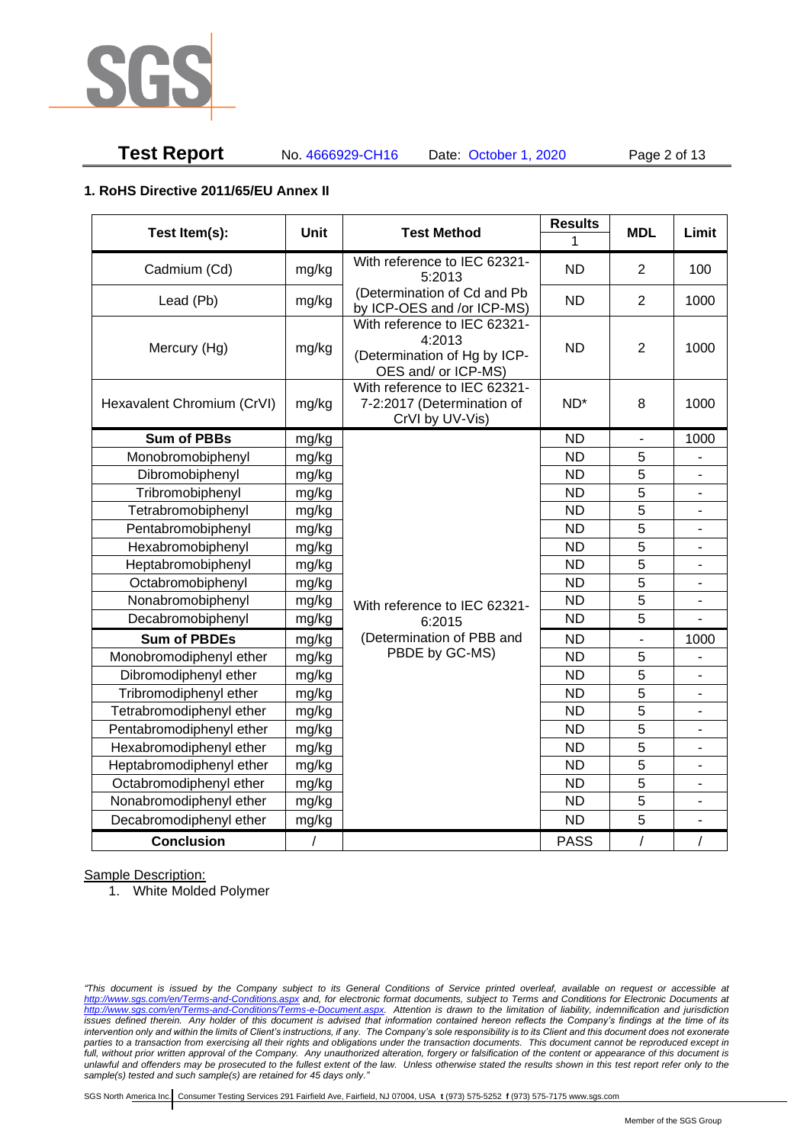

# **Test Report** No. 4666929-CH16 Date: October 1, 2020 Page 2 of 13

### **1. RoHS Directive 2011/65/EU Annex II**

| Test Item(s):              | <b>Unit</b> | <b>Test Method</b>                                                                            | <b>Results</b>  | <b>MDL</b>     | Limit                    |
|----------------------------|-------------|-----------------------------------------------------------------------------------------------|-----------------|----------------|--------------------------|
|                            |             |                                                                                               | 1               |                |                          |
| Cadmium (Cd)               | mg/kg       | With reference to IEC 62321-<br>5:2013                                                        | <b>ND</b>       | $\overline{2}$ | 100                      |
| Lead (Pb)                  | mg/kg       | (Determination of Cd and Pb<br>by ICP-OES and /or ICP-MS)                                     | <b>ND</b>       | $\overline{2}$ | 1000                     |
| Mercury (Hg)               | mg/kg       | With reference to IEC 62321-<br>4:2013<br>(Determination of Hg by ICP-<br>OES and/ or ICP-MS) | <b>ND</b>       | $\overline{2}$ | 1000                     |
| Hexavalent Chromium (CrVI) | mg/kg       | With reference to IEC 62321-<br>7-2:2017 (Determination of<br>CrVI by UV-Vis)                 | ND <sup>*</sup> | 8              | 1000                     |
| <b>Sum of PBBs</b>         | mg/kg       |                                                                                               | <b>ND</b>       | $\blacksquare$ | 1000                     |
| Monobromobiphenyl          | mg/kg       |                                                                                               | <b>ND</b>       | 5              |                          |
| Dibromobiphenyl            | mg/kg       |                                                                                               | <b>ND</b>       | 5              |                          |
| Tribromobiphenyl           | mg/kg       |                                                                                               | <b>ND</b>       | 5              | $\overline{a}$           |
| Tetrabromobiphenyl         | mg/kg       |                                                                                               | <b>ND</b>       | 5              |                          |
| Pentabromobiphenyl         | mg/kg       |                                                                                               | <b>ND</b>       | 5              |                          |
| Hexabromobiphenyl          | mg/kg       |                                                                                               | <b>ND</b>       | 5              |                          |
| Heptabromobiphenyl         | mg/kg       |                                                                                               | <b>ND</b>       | 5              | $\overline{\phantom{a}}$ |
| Octabromobiphenyl          | mg/kg       |                                                                                               | <b>ND</b>       | 5              | Ξ.                       |
| Nonabromobiphenyl          | mg/kg       | With reference to IEC 62321-                                                                  | <b>ND</b>       | 5              |                          |
| Decabromobiphenyl          | mg/kg       | 6:2015                                                                                        | <b>ND</b>       | 5              |                          |
| <b>Sum of PBDEs</b>        | mg/kg       | (Determination of PBB and                                                                     | <b>ND</b>       | ä,             | 1000                     |
| Monobromodiphenyl ether    | mg/kg       | PBDE by GC-MS)                                                                                | <b>ND</b>       | 5              |                          |
| Dibromodiphenyl ether      | mg/kg       |                                                                                               | <b>ND</b>       | 5              | -                        |
| Tribromodiphenyl ether     | mg/kg       |                                                                                               | <b>ND</b>       | 5              | $\overline{\phantom{a}}$ |
| Tetrabromodiphenyl ether   | mg/kg       |                                                                                               | <b>ND</b>       | 5              | $\overline{a}$           |
| Pentabromodiphenyl ether   | mg/kg       |                                                                                               | <b>ND</b>       | 5              |                          |
| Hexabromodiphenyl ether    | mg/kg       |                                                                                               | <b>ND</b>       | 5              |                          |
| Heptabromodiphenyl ether   | mg/kg       |                                                                                               | <b>ND</b>       | 5              | ÷,                       |
| Octabromodiphenyl ether    | mg/kg       |                                                                                               | <b>ND</b>       | $\overline{5}$ | L.                       |
| Nonabromodiphenyl ether    | mg/kg       |                                                                                               | <b>ND</b>       | 5              |                          |
| Decabromodiphenyl ether    | mg/kg       |                                                                                               | <b>ND</b>       | 5              | ä,                       |
| <b>Conclusion</b>          | $\sqrt{2}$  |                                                                                               | <b>PASS</b>     | $\overline{1}$ | $\sqrt{2}$               |

Sample Description:

1. White Molded Polymer

*"This document is issued by the Company subject to its General Conditions of Service printed overleaf, available on request or accessible at <http://www.sgs.com/en/Terms-and-Conditions.aspx> and, for electronic format documents, subject to Terms and Conditions for Electronic Documents at [http://www.sgs.com/en/Terms-and-Conditions/Terms-e-Document.aspx.](http://www.sgs.com/en/Terms-and-Conditions/Terms-e-Document.aspx) Attention is drawn to the limitation of liability, indemnification and jurisdiction issues defined therein. Any holder of this document is advised that information contained hereon reflects the Company's findings at the time of its intervention only and within the limits of Client's instructions, if any. The Company's sole responsibility is to its Client and this document does not exonerate parties to a transaction from exercising all their rights and obligations under the transaction documents. This document cannot be reproduced except in*  full, without prior written approval of the Company. Any unauthorized alteration, forgery or falsification of the content or appearance of this document is *unlawful and offenders may be prosecuted to the fullest extent of the law. Unless otherwise stated the results shown in this test report refer only to the sample(s) tested and such sample(s) are retained for 45 days only."*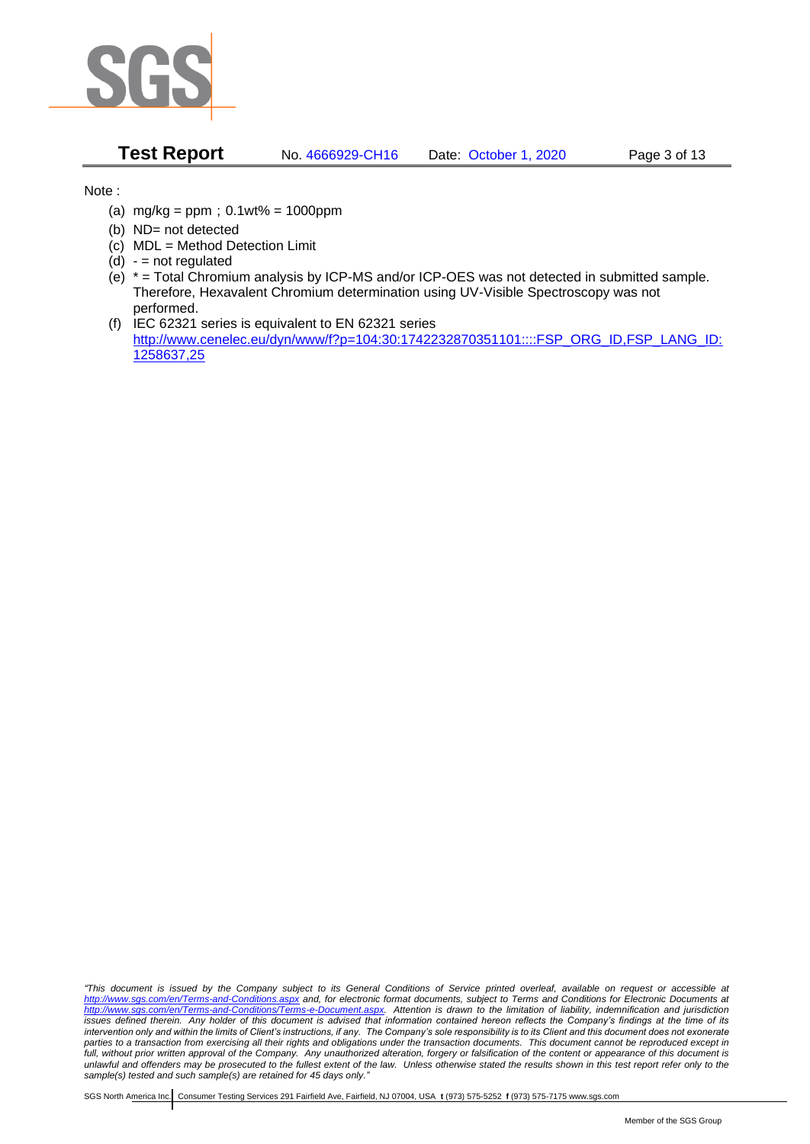

**Test Report** No. 4666929-CH16 Date: October 1, 2020 Page 3 of 13

Note :

- (a)  $mg/kg = ppm$ ;  $0.1wt% = 1000ppm$
- (b) ND= not detected
- (c) MDL = Method Detection Limit
- $(d) -$  = not regulated
- (e) \* = Total Chromium analysis by ICP-MS and/or ICP-OES was not detected in submitted sample. Therefore, Hexavalent Chromium determination using UV-Visible Spectroscopy was not performed.
- (f) IEC 62321 series is equivalent to EN 62321 series [http://www.cenelec.eu/dyn/www/f?p=104:30:1742232870351101::::FSP\\_ORG\\_ID,FSP\\_LANG\\_ID:](http://www.cenelec.eu/dyn/www/f?p=104:30:1742232870351101::::FSP_ORG_ID,FSP_LANG_ID:1258637,25) [1258637,25](http://www.cenelec.eu/dyn/www/f?p=104:30:1742232870351101::::FSP_ORG_ID,FSP_LANG_ID:1258637,25)

*"This document is issued by the Company subject to its General Conditions of Service printed overleaf, available on request or accessible at <http://www.sgs.com/en/Terms-and-Conditions.aspx> and, for electronic format documents, subject to Terms and Conditions for Electronic Documents at [http://www.sgs.com/en/Terms-and-Conditions/Terms-e-Document.aspx.](http://www.sgs.com/en/Terms-and-Conditions/Terms-e-Document.aspx) Attention is drawn to the limitation of liability, indemnification and jurisdiction issues defined therein. Any holder of this document is advised that information contained hereon reflects the Company's findings at the time of its intervention only and within the limits of Client's instructions, if any. The Company's sole responsibility is to its Client and this document does not exonerate parties to a transaction from exercising all their rights and obligations under the transaction documents. This document cannot be reproduced except in*  full, without prior written approval of the Company. Any unauthorized alteration, forgery or falsification of the content or appearance of this document is *unlawful and offenders may be prosecuted to the fullest extent of the law. Unless otherwise stated the results shown in this test report refer only to the sample(s) tested and such sample(s) are retained for 45 days only."*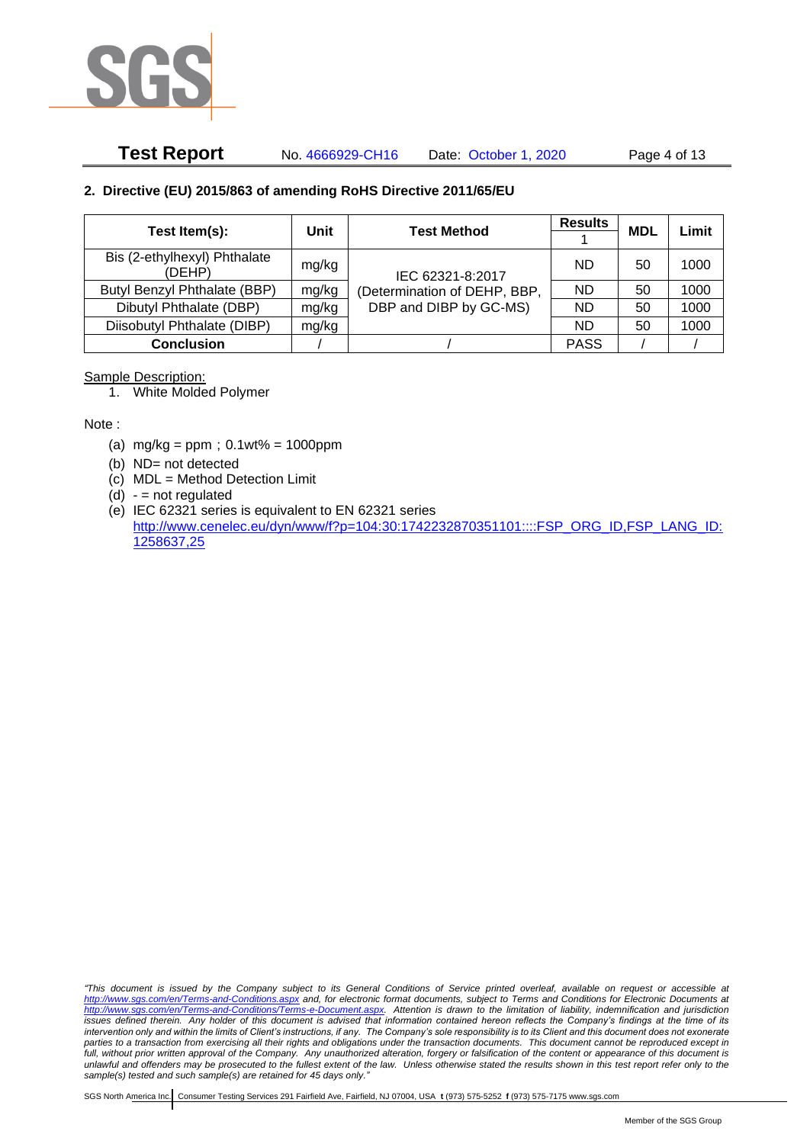

# **Test Report** No. 4666929-CH16 Date: October 1, 2020 Page 4 of 13

#### **2. Directive (EU) 2015/863 of amending RoHS Directive 2011/65/EU**

|                                        | Unit  | <b>Test Method</b>           | <b>Results</b> | <b>MDL</b> | Limit |
|----------------------------------------|-------|------------------------------|----------------|------------|-------|
| Test Item(s):                          |       |                              |                |            |       |
| Bis (2-ethylhexyl) Phthalate<br>(DEHP) | mg/kg | IEC 62321-8:2017             | ND             | 50         | 1000  |
| Butyl Benzyl Phthalate (BBP)           | mg/kg | (Determination of DEHP, BBP, | ND.            | 50         | 1000  |
| Dibutyl Phthalate (DBP)                | mg/kg | DBP and DIBP by GC-MS)       | ND.            | 50         | 1000  |
| Diisobutyl Phthalate (DIBP)            | mg/kg |                              | ND.            | 50         | 1000  |
| <b>Conclusion</b>                      |       |                              | <b>PASS</b>    |            |       |

#### Sample Description:

1. White Molded Polymer

Note :

- (a)  $mg/kg = ppm$ ;  $0.1wt% = 1000ppm$
- (b) ND= not detected
- (c) MDL = Method Detection Limit
- $(d) -$  = not regulated
- (e) IEC 62321 series is equivalent to EN 62321 series [http://www.cenelec.eu/dyn/www/f?p=104:30:1742232870351101::::FSP\\_ORG\\_ID,FSP\\_LANG\\_ID:](http://www.cenelec.eu/dyn/www/f?p=104:30:1742232870351101::::FSP_ORG_ID,FSP_LANG_ID:1258637,25) [1258637,25](http://www.cenelec.eu/dyn/www/f?p=104:30:1742232870351101::::FSP_ORG_ID,FSP_LANG_ID:1258637,25)

*"This document is issued by the Company subject to its General Conditions of Service printed overleaf, available on request or accessible at <http://www.sgs.com/en/Terms-and-Conditions.aspx> and, for electronic format documents, subject to Terms and Conditions for Electronic Documents at [http://www.sgs.com/en/Terms-and-Conditions/Terms-e-Document.aspx.](http://www.sgs.com/en/Terms-and-Conditions/Terms-e-Document.aspx) Attention is drawn to the limitation of liability, indemnification and jurisdiction issues defined therein. Any holder of this document is advised that information contained hereon reflects the Company's findings at the time of its intervention only and within the limits of Client's instructions, if any. The Company's sole responsibility is to its Client and this document does not exonerate*  parties to a transaction from exercising all their rights and obligations under the transaction documents. This document cannot be reproduced except in full, without prior written approval of the Company. Any unauthorized alteration, forgery or falsification of the content or appearance of this document is *unlawful and offenders may be prosecuted to the fullest extent of the law. Unless otherwise stated the results shown in this test report refer only to the sample(s) tested and such sample(s) are retained for 45 days only."*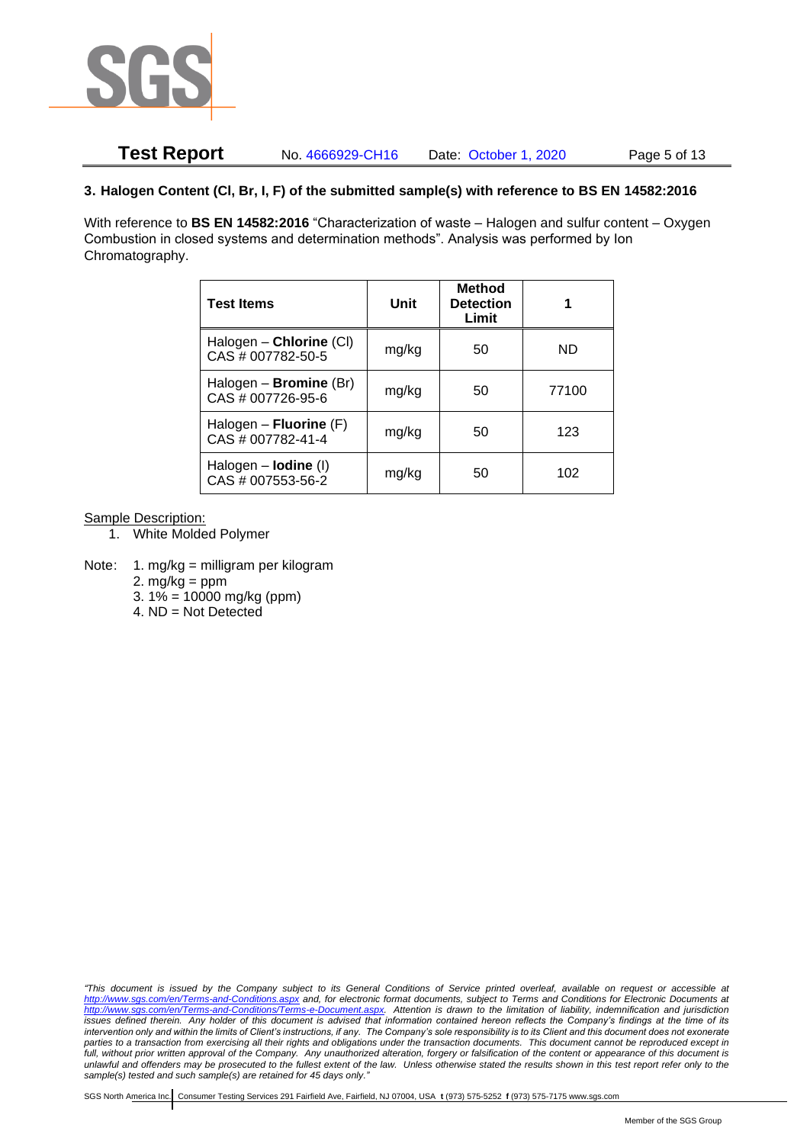

## **Test Report** No. 4666929-CH16 Date: October 1, 2020 Page 5 of 13

### **3. Halogen Content (Cl, Br, I, F) of the submitted sample(s) with reference to BS EN 14582:2016**

With reference to **BS EN 14582:2016** "Characterization of waste – Halogen and sulfur content – Oxygen Combustion in closed systems and determination methods". Analysis was performed by Ion Chromatography.

| <b>Test Items</b>                                  | Unit  | <b>Method</b><br><b>Detection</b><br>Limit |       |
|----------------------------------------------------|-------|--------------------------------------------|-------|
| Halogen - Chlorine (CI)<br>CAS # 007782-50-5       | mg/kg | 50                                         | ND    |
| Halogen - <b>Bromine</b> (Br)<br>CAS # 007726-95-6 | mg/kg | 50                                         | 77100 |
| Halogen – Fluorine $(F)$<br>CAS # 007782-41-4      | mg/kg | 50                                         | 123   |
| Halogen $-$ lodine (I)<br>CAS # 007553-56-2        | mg/kg | 50                                         | 102   |

Sample Description:

- 1. White Molded Polymer
- Note: 1. mg/kg = milligram per kilogram
	- 2.  $mg/kg = ppm$
	- 3.  $1\% = 10000$  mg/kg (ppm)
	- 4. ND = Not Detected

*"This document is issued by the Company subject to its General Conditions of Service printed overleaf, available on request or accessible at <http://www.sgs.com/en/Terms-and-Conditions.aspx> and, for electronic format documents, subject to Terms and Conditions for Electronic Documents at [http://www.sgs.com/en/Terms-and-Conditions/Terms-e-Document.aspx.](http://www.sgs.com/en/Terms-and-Conditions/Terms-e-Document.aspx) Attention is drawn to the limitation of liability, indemnification and jurisdiction issues defined therein. Any holder of this document is advised that information contained hereon reflects the Company's findings at the time of its intervention only and within the limits of Client's instructions, if any. The Company's sole responsibility is to its Client and this document does not exonerate*  parties to a transaction from exercising all their rights and obligations under the transaction documents. This document cannot be reproduced except in full, without prior written approval of the Company. Any unauthorized alteration, forgery or falsification of the content or appearance of this document is *unlawful and offenders may be prosecuted to the fullest extent of the law. Unless otherwise stated the results shown in this test report refer only to the sample(s) tested and such sample(s) are retained for 45 days only."*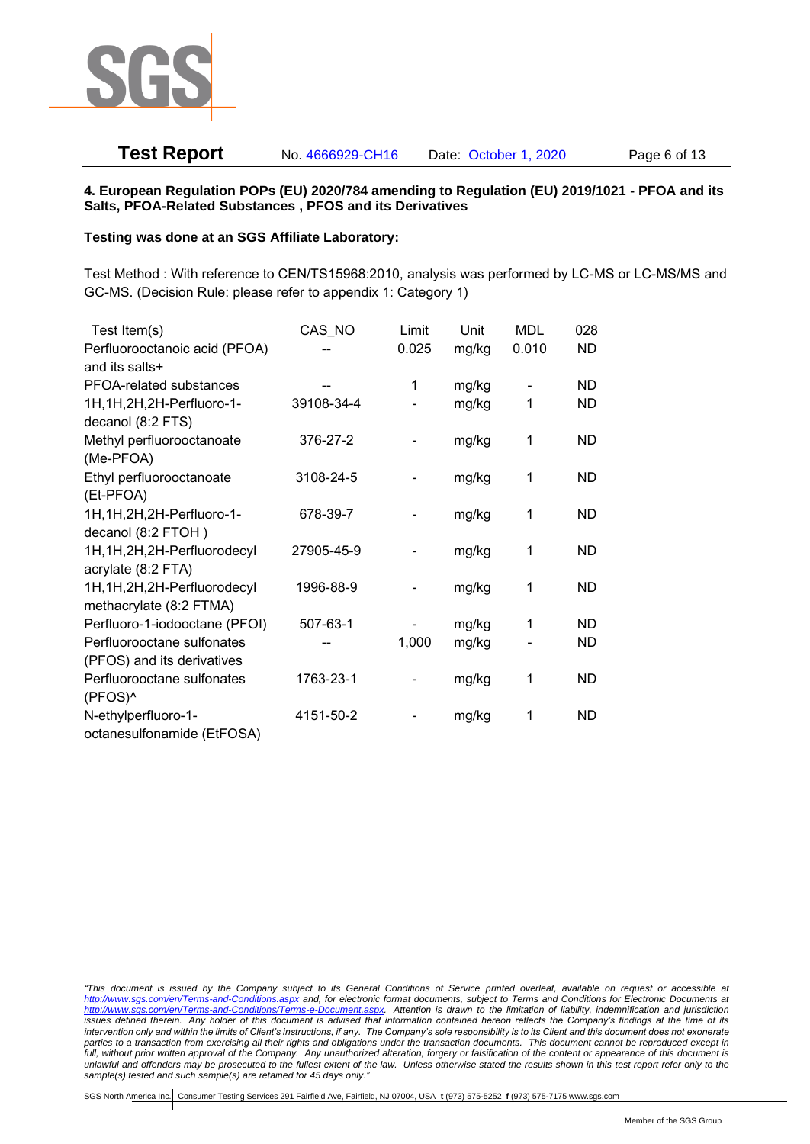

# **Test Report** No. 4666929-CH16 Date: October 1, 2020 Page 6 of 13

#### **4. European Regulation POPs (EU) 2020/784 amending to Regulation (EU) 2019/1021 - PFOA and its Salts, PFOA-Related Substances , PFOS and its Derivatives**

#### **Testing was done at an SGS Affiliate Laboratory:**

Test Method : With reference to CEN/TS15968:2010, analysis was performed by LC-MS or LC-MS/MS and GC-MS. (Decision Rule: please refer to appendix 1: Category 1)

| Test Item(s)                  | CAS_NO     | Limit | Unit  | <b>MDL</b> | 028       |
|-------------------------------|------------|-------|-------|------------|-----------|
| Perfluorooctanoic acid (PFOA) |            | 0.025 | mg/kg | 0.010      | <b>ND</b> |
| and its salts+                |            |       |       |            |           |
| PFOA-related substances       |            | 1     | mg/kg |            | ND        |
| 1H, 1H, 2H, 2H-Perfluoro-1-   | 39108-34-4 |       | mg/kg | 1          | ND        |
| decanol (8:2 FTS)             |            |       |       |            |           |
| Methyl perfluorooctanoate     | 376-27-2   |       | mg/kg | 1          | <b>ND</b> |
| (Me-PFOA)                     |            |       |       |            |           |
| Ethyl perfluorooctanoate      | 3108-24-5  |       | mg/kg | 1          | <b>ND</b> |
| (Et-PFOA)                     |            |       |       |            |           |
| 1H, 1H, 2H, 2H-Perfluoro-1-   | 678-39-7   |       | mg/kg | 1          | ND        |
| decanol (8:2 FTOH)            |            |       |       |            |           |
| 1H, 1H, 2H, 2H-Perfluorodecyl | 27905-45-9 |       | mg/kg | 1          | <b>ND</b> |
| acrylate (8:2 FTA)            |            |       |       |            |           |
| 1H, 1H, 2H, 2H-Perfluorodecyl | 1996-88-9  |       | mg/kg | 1          | <b>ND</b> |
| methacrylate (8:2 FTMA)       |            |       |       |            |           |
| Perfluoro-1-iodooctane (PFOI) | 507-63-1   |       | mg/kg | 1          | <b>ND</b> |
| Perfluorooctane sulfonates    |            | 1,000 | mg/kg |            | ND        |
| (PFOS) and its derivatives    |            |       |       |            |           |
| Perfluorooctane sulfonates    | 1763-23-1  |       | mg/kg | 1          | <b>ND</b> |
| (PFOS)^                       |            |       |       |            |           |
| N-ethylperfluoro-1-           | 4151-50-2  |       | mg/kg | 1          | <b>ND</b> |
| octanesulfonamide (EtFOSA)    |            |       |       |            |           |

*<sup>&</sup>quot;This document is issued by the Company subject to its General Conditions of Service printed overleaf, available on request or accessible at <http://www.sgs.com/en/Terms-and-Conditions.aspx> and, for electronic format documents, subject to Terms and Conditions for Electronic Documents at [http://www.sgs.com/en/Terms-and-Conditions/Terms-e-Document.aspx.](http://www.sgs.com/en/Terms-and-Conditions/Terms-e-Document.aspx) Attention is drawn to the limitation of liability, indemnification and jurisdiction issues defined therein. Any holder of this document is advised that information contained hereon reflects the Company's findings at the time of its intervention only and within the limits of Client's instructions, if any. The Company's sole responsibility is to its Client and this document does not exonerate parties to a transaction from exercising all their rights and obligations under the transaction documents. This document cannot be reproduced except in*  full, without prior written approval of the Company. Any unauthorized alteration, forgery or falsification of the content or appearance of this document is *unlawful and offenders may be prosecuted to the fullest extent of the law. Unless otherwise stated the results shown in this test report refer only to the sample(s) tested and such sample(s) are retained for 45 days only."*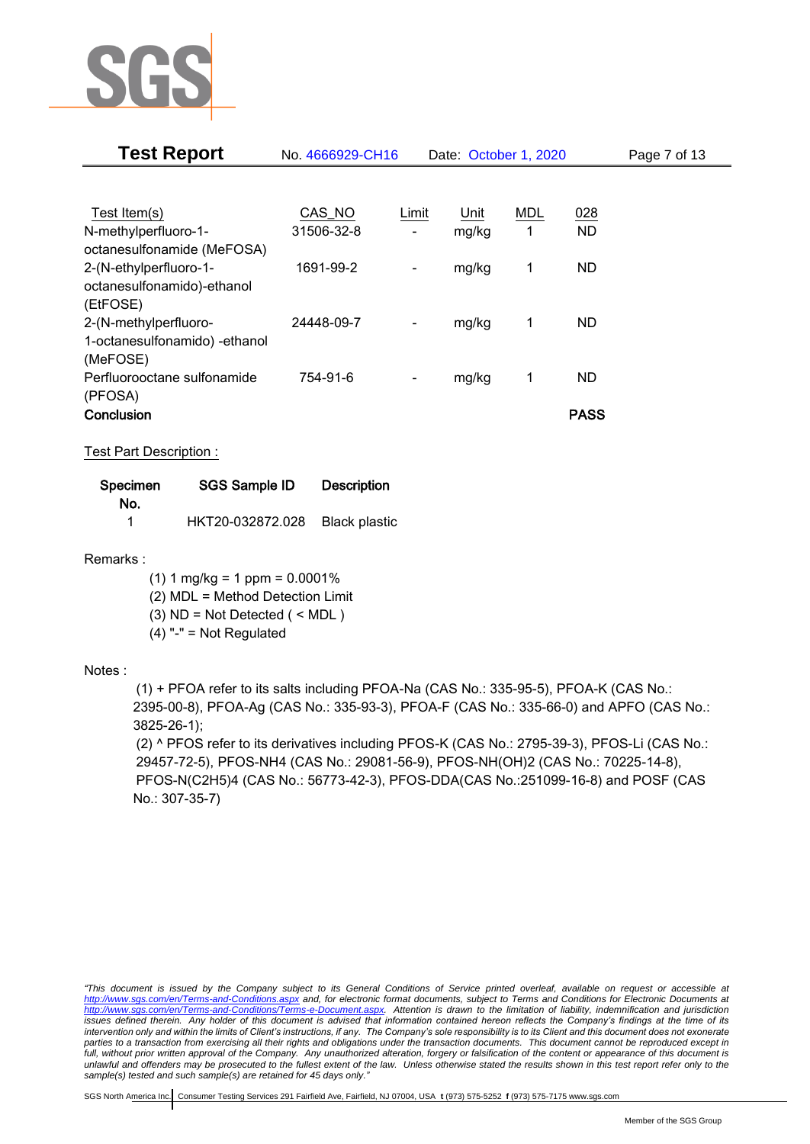

| <b>Test Report</b>            | No. 4666929-CH16 |                          | Date: October 1, 2020 |     |             | Page 7 of 13 |
|-------------------------------|------------------|--------------------------|-----------------------|-----|-------------|--------------|
|                               |                  |                          |                       |     |             |              |
| Test Item(s)                  | CAS_NO           | Limit                    | Unit                  | MDL | 028         |              |
| N-methylperfluoro-1-          | 31506-32-8       |                          | mg/kg                 | 1   | <b>ND</b>   |              |
| octanesulfonamide (MeFOSA)    |                  |                          |                       |     |             |              |
| 2-(N-ethylperfluoro-1-        | 1691-99-2        | -                        | mg/kg                 | 1   | <b>ND</b>   |              |
| octanesulfonamido)-ethanol    |                  |                          |                       |     |             |              |
| (EtFOSE)                      |                  |                          |                       |     |             |              |
| 2-(N-methylperfluoro-         | 24448-09-7       | $\overline{\phantom{a}}$ | mg/kg                 | 1   | <b>ND</b>   |              |
| 1-octanesulfonamido) -ethanol |                  |                          |                       |     |             |              |
| (MeFOSE)                      |                  |                          |                       |     |             |              |
| Perfluorooctane sulfonamide   | 754-91-6         |                          | mg/kg                 | 1   | <b>ND</b>   |              |
| (PFOSA)                       |                  |                          |                       |     |             |              |
| Conclusion                    |                  |                          |                       |     | <b>PASS</b> |              |

Test Part Description :

| Specimen | SGS Sample ID    | <b>Description</b>   |
|----------|------------------|----------------------|
| No.      |                  |                      |
|          | HKT20-032872.028 | <b>Black plastic</b> |

Remarks :

 $(1)$  1 mg/kg = 1 ppm = 0.0001%

(2) MDL = Method Detection Limit

(3) ND = Not Detected ( < MDL )

 $(4)$  "-" = Not Regulated

### Notes :

(1) + PFOA refer to its salts including PFOA-Na (CAS No.: 335-95-5), PFOA-K (CAS No.: 2395-00-8), PFOA-Ag (CAS No.: 335-93-3), PFOA-F (CAS No.: 335-66-0) and APFO (CAS No.: 3825-26-1);

(2) ^ PFOS refer to its derivatives including PFOS-K (CAS No.: 2795-39-3), PFOS-Li (CAS No.: 29457-72-5), PFOS-NH4 (CAS No.: 29081-56-9), PFOS-NH(OH)2 (CAS No.: 70225-14-8), PFOS-N(C2H5)4 (CAS No.: 56773-42-3), PFOS-DDA(CAS No.:251099-16-8) and POSF (CAS No.: 307-35-7)

*"This document is issued by the Company subject to its General Conditions of Service printed overleaf, available on request or accessible at <http://www.sgs.com/en/Terms-and-Conditions.aspx> and, for electronic format documents, subject to Terms and Conditions for Electronic Documents at [http://www.sgs.com/en/Terms-and-Conditions/Terms-e-Document.aspx.](http://www.sgs.com/en/Terms-and-Conditions/Terms-e-Document.aspx) Attention is drawn to the limitation of liability, indemnification and jurisdiction issues defined therein. Any holder of this document is advised that information contained hereon reflects the Company's findings at the time of its intervention only and within the limits of Client's instructions, if any. The Company's sole responsibility is to its Client and this document does not exonerate parties to a transaction from exercising all their rights and obligations under the transaction documents. This document cannot be reproduced except in*  full, without prior written approval of the Company. Any unauthorized alteration, forgery or falsification of the content or appearance of this document is *unlawful and offenders may be prosecuted to the fullest extent of the law. Unless otherwise stated the results shown in this test report refer only to the sample(s) tested and such sample(s) are retained for 45 days only."*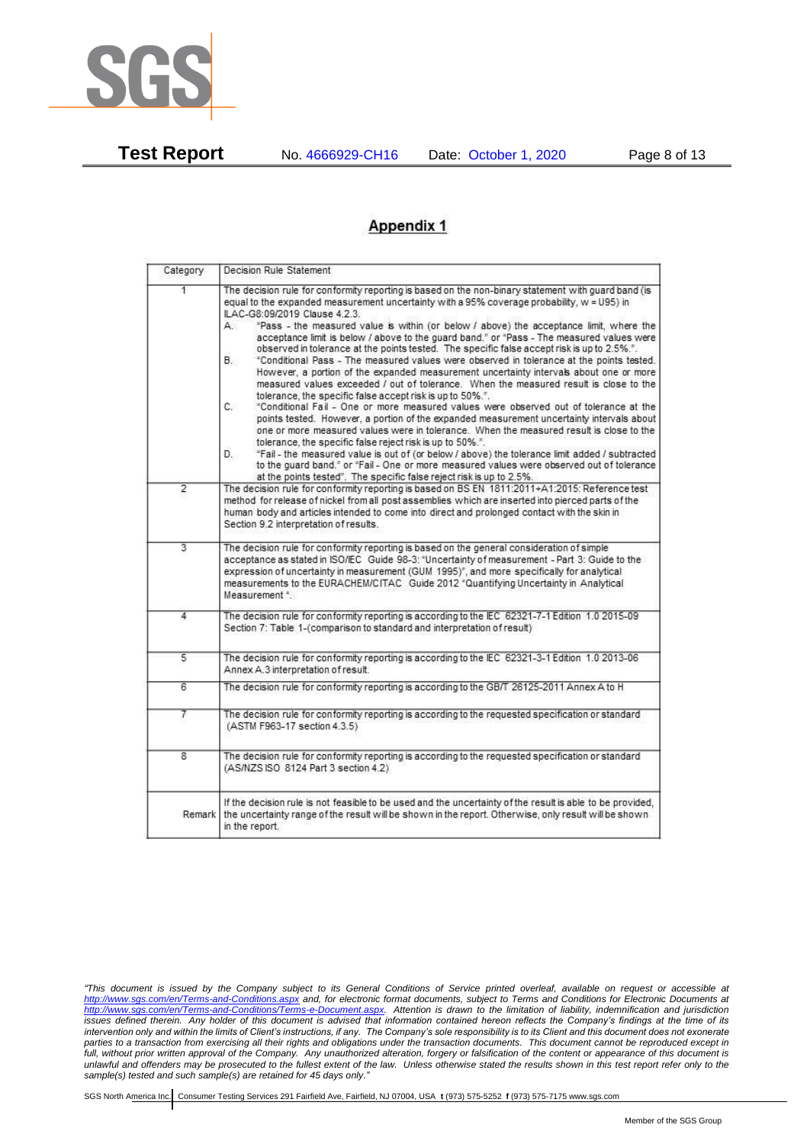

**Test Report** No. 4666929-CH16 Date: October 1, 2020 Page 8 of 13

# **Appendix 1**

| Category       | Decision Rule Statement                                                                                                                                                                                                                                                                                                                                                                                                                                                                                                                                                                                                                                                                                                                                                                                                                                                                                                                                                                                                                                                                                                                                                                                                                                                                                                                                                                                                                    |  |  |  |  |
|----------------|--------------------------------------------------------------------------------------------------------------------------------------------------------------------------------------------------------------------------------------------------------------------------------------------------------------------------------------------------------------------------------------------------------------------------------------------------------------------------------------------------------------------------------------------------------------------------------------------------------------------------------------------------------------------------------------------------------------------------------------------------------------------------------------------------------------------------------------------------------------------------------------------------------------------------------------------------------------------------------------------------------------------------------------------------------------------------------------------------------------------------------------------------------------------------------------------------------------------------------------------------------------------------------------------------------------------------------------------------------------------------------------------------------------------------------------------|--|--|--|--|
| 1.             | The decision rule for conformity reporting is based on the non-binary statement with guard band (is<br>equal to the expanded measurement uncertainty with a 95% coverage probability, w = U95) in<br>ILAC-G8:09/2019 Clause 4.2.3.<br>"Pass - the measured value is within (or below / above) the acceptance limit, where the<br>А.<br>acceptance limit is below / above to the quard band," or "Pass - The measured values were<br>observed in tolerance at the points tested. The specific false accept risk is up to 2.5%.".<br>В.<br>"Conditional Pass - The measured values were observed in tolerance at the points tested.<br>However, a portion of the expanded measurement uncertainty intervals about one or more<br>measured values exceeded / out of tolerance. When the measured result is close to the<br>tolerance, the specific false accept risk is up to 50%.".<br>C.<br>"Conditional Fail - One or more measured values were observed out of tolerance at the<br>points tested. However, a portion of the expanded measurement uncertainty intervals about<br>one or more measured values were in tolerance. When the measured result is close to the<br>tolerance, the specific false reject risk is up to 50%.".<br>"Fail - the measured value is out of (or below / above) the tolerance limit added / subtracted<br>D.<br>to the quard band," or "Fail - One or more measured values were observed out of tolerance |  |  |  |  |
| $\overline{2}$ | at the points tested". The specific false reject risk is up to 2.5%.<br>The decision rule for conformity reporting is based on BS EN 1811:2011+A1:2015: Reference test<br>method for release of nickel from all post assemblies which are inserted into pierced parts of the<br>human body and articles intended to come into direct and prolonged contact with the skin in<br>Section 9.2 interpretation of results.                                                                                                                                                                                                                                                                                                                                                                                                                                                                                                                                                                                                                                                                                                                                                                                                                                                                                                                                                                                                                      |  |  |  |  |
| $\overline{3}$ | The decision rule for conformity reporting is based on the general consideration of simple<br>acceptance as stated in ISO/IEC Guide 98-3: "Uncertainty of measurement - Part 3: Guide to the<br>expression of uncertainty in measurement (GUM 1995)", and more specifically for analytical<br>measurements to the EURACHEM/CITAC Guide 2012 "Quantifying Uncertainty in Analytical<br>Measurement *                                                                                                                                                                                                                                                                                                                                                                                                                                                                                                                                                                                                                                                                                                                                                                                                                                                                                                                                                                                                                                        |  |  |  |  |
| 4              | The decision rule for conformity reporting is according to the IEC 62321-7-1 Edition 1.0 2015-09<br>Section 7: Table 1-(comparison to standard and interpretation of result)                                                                                                                                                                                                                                                                                                                                                                                                                                                                                                                                                                                                                                                                                                                                                                                                                                                                                                                                                                                                                                                                                                                                                                                                                                                               |  |  |  |  |
| 5              | The decision rule for conformity reporting is according to the IEC 62321-3-1 Edition 1.0 2013-06<br>Annex A.3 interpretation of result.                                                                                                                                                                                                                                                                                                                                                                                                                                                                                                                                                                                                                                                                                                                                                                                                                                                                                                                                                                                                                                                                                                                                                                                                                                                                                                    |  |  |  |  |
| 6              | The decision rule for conformity reporting is according to the GB/T 26125-2011 Annex A to H                                                                                                                                                                                                                                                                                                                                                                                                                                                                                                                                                                                                                                                                                                                                                                                                                                                                                                                                                                                                                                                                                                                                                                                                                                                                                                                                                |  |  |  |  |
| 7              | The decision rule for conformity reporting is according to the requested specification or standard<br>(ASTM F963-17 section 4.3.5)                                                                                                                                                                                                                                                                                                                                                                                                                                                                                                                                                                                                                                                                                                                                                                                                                                                                                                                                                                                                                                                                                                                                                                                                                                                                                                         |  |  |  |  |
| 8              | The decision rule for conformity reporting is according to the requested specification or standard<br>(AS/NZS ISO 8124 Part 3 section 4.2)                                                                                                                                                                                                                                                                                                                                                                                                                                                                                                                                                                                                                                                                                                                                                                                                                                                                                                                                                                                                                                                                                                                                                                                                                                                                                                 |  |  |  |  |
| Remark         | If the decision rule is not feasible to be used and the uncertainty of the result is able to be provided,<br>the uncertainty range of the result will be shown in the report. Otherwise, only result will be shown<br>in the report.                                                                                                                                                                                                                                                                                                                                                                                                                                                                                                                                                                                                                                                                                                                                                                                                                                                                                                                                                                                                                                                                                                                                                                                                       |  |  |  |  |

*<sup>&</sup>quot;This document is issued by the Company subject to its General Conditions of Service printed overleaf, available on request or accessible at <http://www.sgs.com/en/Terms-and-Conditions.aspx> and, for electronic format documents, subject to Terms and Conditions for Electronic Documents at [http://www.sgs.com/en/Terms-and-Conditions/Terms-e-Document.aspx.](http://www.sgs.com/en/Terms-and-Conditions/Terms-e-Document.aspx) Attention is drawn to the limitation of liability, indemnification and jurisdiction issues defined therein. Any holder of this document is advised that information contained hereon reflects the Company's findings at the time of its intervention only and within the limits of Client's instructions, if any. The Company's sole responsibility is to its Client and this document does not exonerate parties to a transaction from exercising all their rights and obligations under the transaction documents. This document cannot be reproduced except in*  full, without prior written approval of the Company. Any unauthorized alteration, forgery or falsification of the content or appearance of this document is *unlawful and offenders may be prosecuted to the fullest extent of the law. Unless otherwise stated the results shown in this test report refer only to the sample(s) tested and such sample(s) are retained for 45 days only."*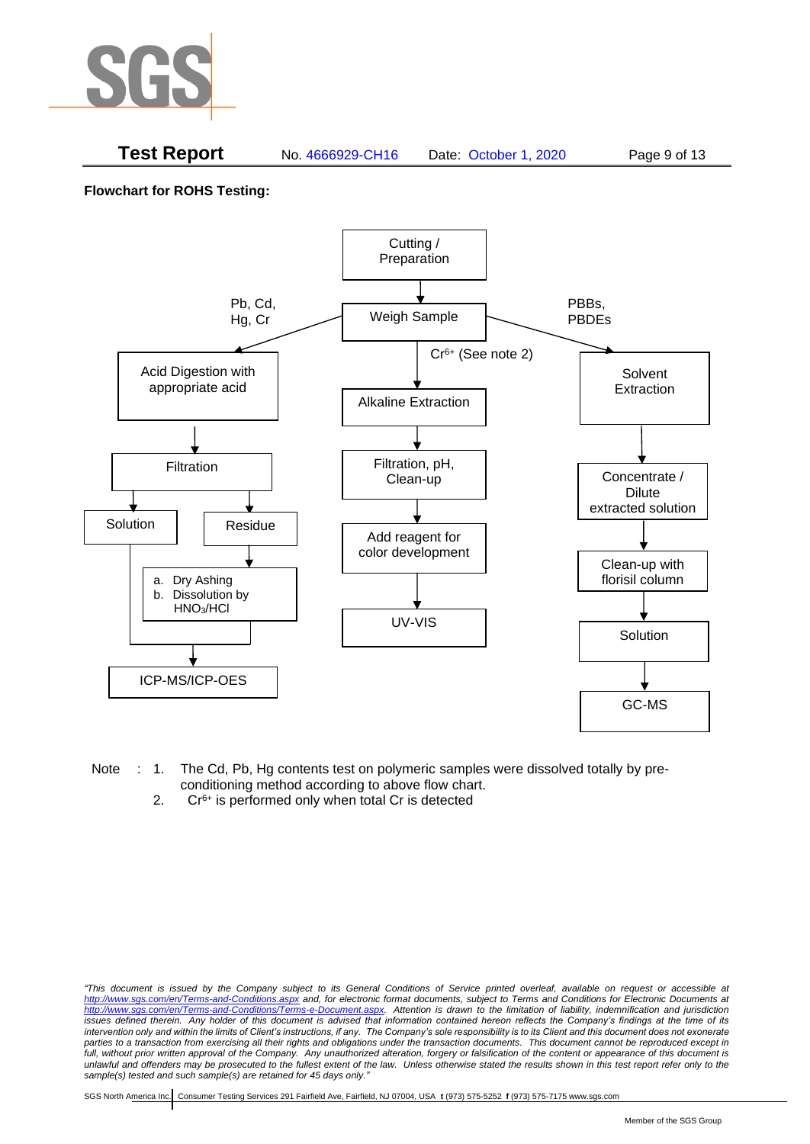

### **Test Report** No. 4666929-CH16 Date: October 1, 2020 Page 9 of 13

**Flowchart for ROHS Testing:**



- Note : 1. The Cd, Pb, Hg contents test on polymeric samples were dissolved totally by preconditioning method according to above flow chart.
	- 2.  $Cr<sup>6+</sup>$  is performed only when total Cr is detected

*<sup>&</sup>quot;This document is issued by the Company subject to its General Conditions of Service printed overleaf, available on request or accessible at <http://www.sgs.com/en/Terms-and-Conditions.aspx> and, for electronic format documents, subject to Terms and Conditions for Electronic Documents at [http://www.sgs.com/en/Terms-and-Conditions/Terms-e-Document.aspx.](http://www.sgs.com/en/Terms-and-Conditions/Terms-e-Document.aspx) Attention is drawn to the limitation of liability, indemnification and jurisdiction issues defined therein. Any holder of this document is advised that information contained hereon reflects the Company's findings at the time of its intervention only and within the limits of Client's instructions, if any. The Company's sole responsibility is to its Client and this document does not exonerate*  parties to a transaction from exercising all their rights and obligations under the transaction documents. This document cannot be reproduced except in full, without prior written approval of the Company. Any unauthorized alteration, forgery or falsification of the content or appearance of this document is *unlawful and offenders may be prosecuted to the fullest extent of the law. Unless otherwise stated the results shown in this test report refer only to the sample(s) tested and such sample(s) are retained for 45 days only."*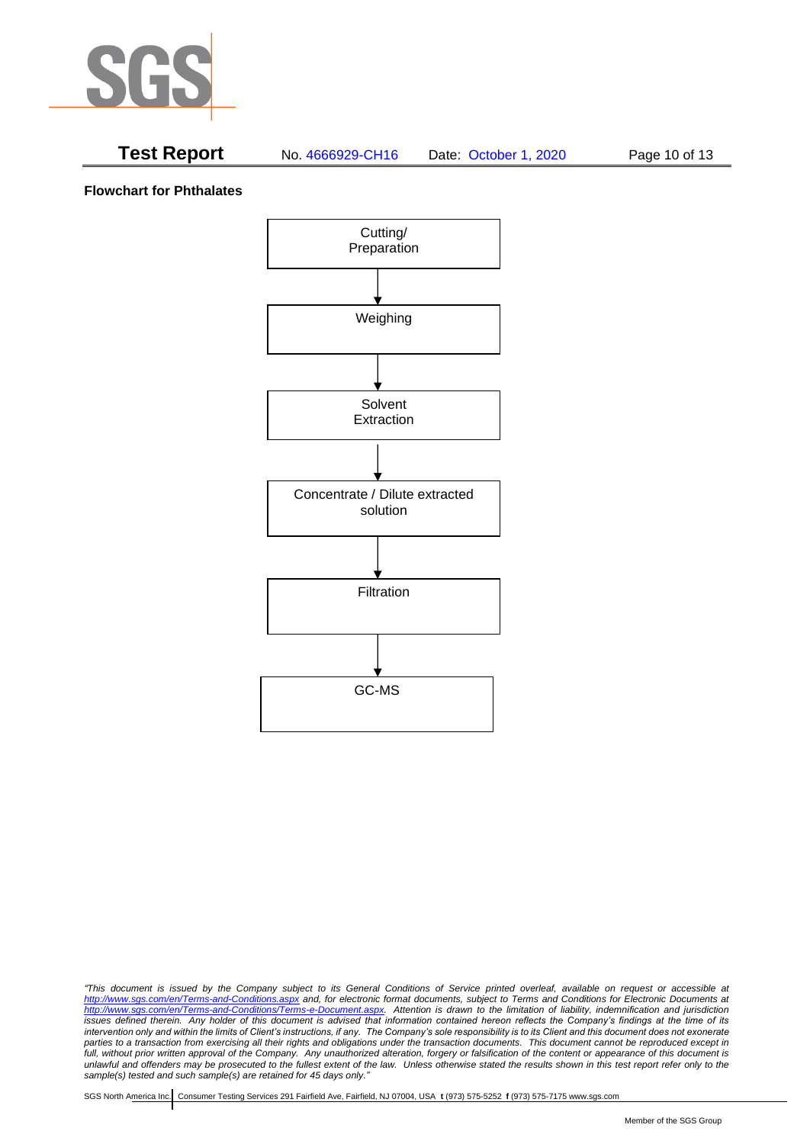

# **Test Report** No. 4666929-CH16 Date: October 1, 2020 Page 10 of 13

**Flowchart for Phthalates**



*<sup>&</sup>quot;This document is issued by the Company subject to its General Conditions of Service printed overleaf, available on request or accessible at <http://www.sgs.com/en/Terms-and-Conditions.aspx> and, for electronic format documents, subject to Terms and Conditions for Electronic Documents at [http://www.sgs.com/en/Terms-and-Conditions/Terms-e-Document.aspx.](http://www.sgs.com/en/Terms-and-Conditions/Terms-e-Document.aspx) Attention is drawn to the limitation of liability, indemnification and jurisdiction issues defined therein. Any holder of this document is advised that information contained hereon reflects the Company's findings at the time of its intervention only and within the limits of Client's instructions, if any. The Company's sole responsibility is to its Client and this document does not exonerate parties to a transaction from exercising all their rights and obligations under the transaction documents. This document cannot be reproduced except in*  full, without prior written approval of the Company. Any unauthorized alteration, forgery or falsification of the content or appearance of this document is *unlawful and offenders may be prosecuted to the fullest extent of the law. Unless otherwise stated the results shown in this test report refer only to the sample(s) tested and such sample(s) are retained for 45 days only."*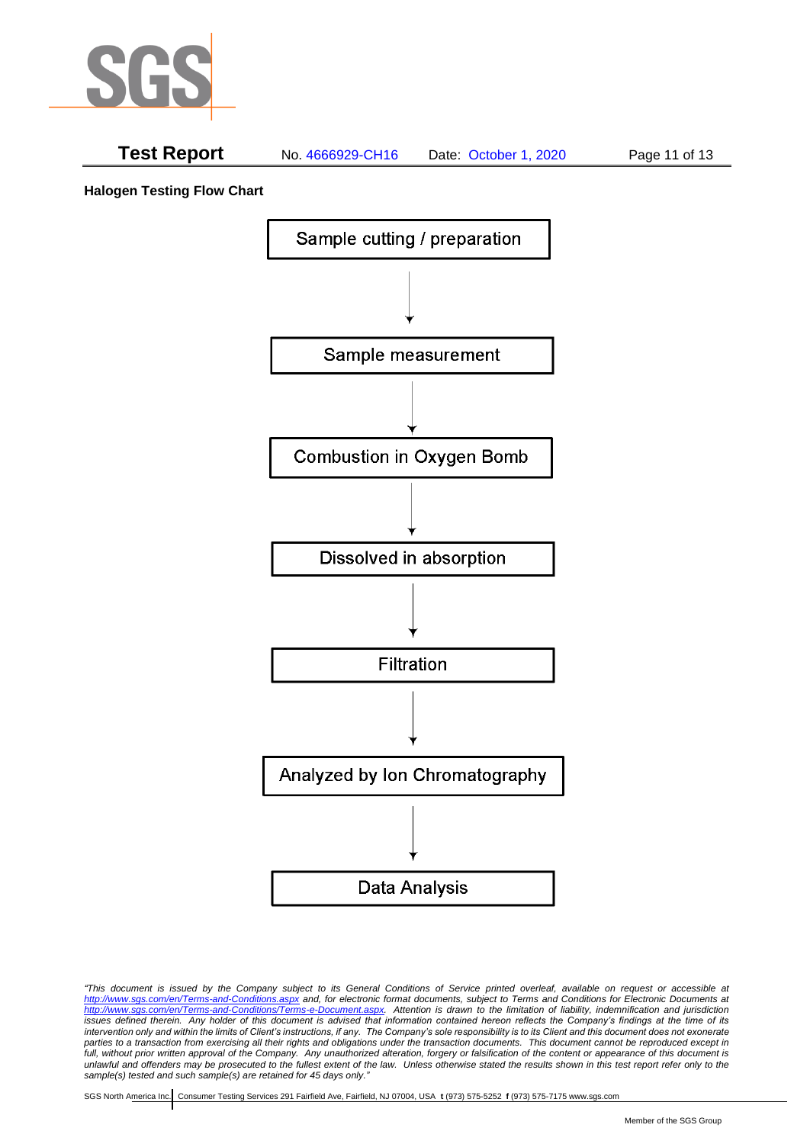

# **Test Report** No. 4666929-CH16 Date: October 1, 2020 Page 11 of 13

**Halogen Testing Flow Chart**



*"This document is issued by the Company subject to its General Conditions of Service printed overleaf, available on request or accessible at <http://www.sgs.com/en/Terms-and-Conditions.aspx> and, for electronic format documents, subject to Terms and Conditions for Electronic Documents at [http://www.sgs.com/en/Terms-and-Conditions/Terms-e-Document.aspx.](http://www.sgs.com/en/Terms-and-Conditions/Terms-e-Document.aspx) Attention is drawn to the limitation of liability, indemnification and jurisdiction issues defined therein. Any holder of this document is advised that information contained hereon reflects the Company's findings at the time of its intervention only and within the limits of Client's instructions, if any. The Company's sole responsibility is to its Client and this document does not exonerate*  parties to a transaction from exercising all their rights and obligations under the transaction documents. This document cannot be reproduced except in full, without prior written approval of the Company. Any unauthorized alteration, forgery or falsification of the content or appearance of this document is *unlawful and offenders may be prosecuted to the fullest extent of the law. Unless otherwise stated the results shown in this test report refer only to the sample(s) tested and such sample(s) are retained for 45 days only."*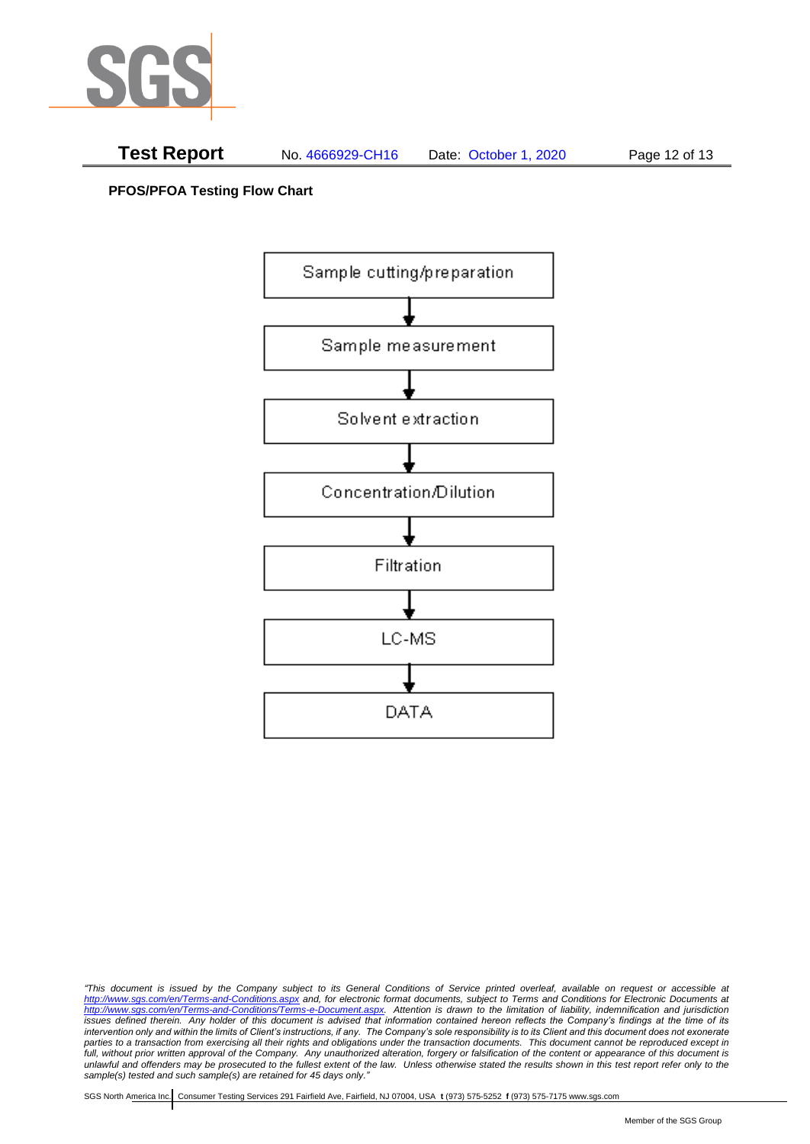

**PFOS/PFOA Testing Flow Chart**



*<sup>&</sup>quot;This document is issued by the Company subject to its General Conditions of Service printed overleaf, available on request or accessible at <http://www.sgs.com/en/Terms-and-Conditions.aspx> and, for electronic format documents, subject to Terms and Conditions for Electronic Documents at [http://www.sgs.com/en/Terms-and-Conditions/Terms-e-Document.aspx.](http://www.sgs.com/en/Terms-and-Conditions/Terms-e-Document.aspx) Attention is drawn to the limitation of liability, indemnification and jurisdiction issues defined therein. Any holder of this document is advised that information contained hereon reflects the Company's findings at the time of its intervention only and within the limits of Client's instructions, if any. The Company's sole responsibility is to its Client and this document does not exonerate parties to a transaction from exercising all their rights and obligations under the transaction documents. This document cannot be reproduced except in*  full, without prior written approval of the Company. Any unauthorized alteration, forgery or falsification of the content or appearance of this document is *unlawful and offenders may be prosecuted to the fullest extent of the law. Unless otherwise stated the results shown in this test report refer only to the sample(s) tested and such sample(s) are retained for 45 days only."*